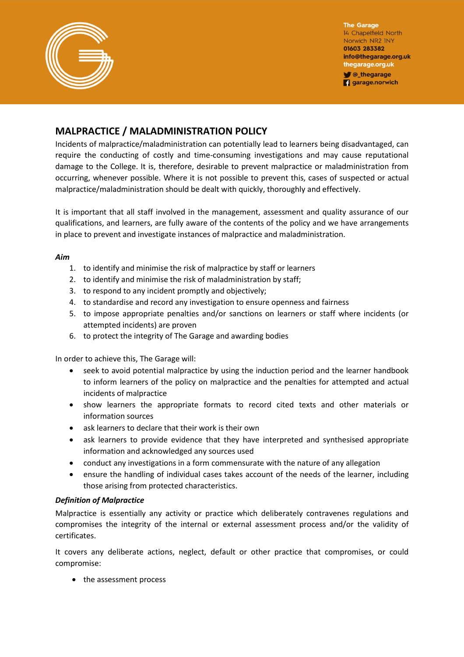

**The Garage** 14 Chapelfield North Norwich NR2 INY 01603 283382 info@thegarage.org.uk thegarage.org.uk **V** @\_thegarage

**garage.norwich** 

# **MALPRACTICE / MALADMINISTRATION POLICY**

Incidents of malpractice/maladministration can potentially lead to learners being disadvantaged, can require the conducting of costly and time-consuming investigations and may cause reputational damage to the College. It is, therefore, desirable to prevent malpractice or maladministration from occurring, whenever possible. Where it is not possible to prevent this, cases of suspected or actual malpractice/maladministration should be dealt with quickly, thoroughly and effectively.

It is important that all staff involved in the management, assessment and quality assurance of our qualifications, and learners, are fully aware of the contents of the policy and we have arrangements in place to prevent and investigate instances of malpractice and maladministration.

## *Aim*

- 1. to identify and minimise the risk of malpractice by staff or learners
- 2. to identify and minimise the risk of maladministration by staff;
- 3. to respond to any incident promptly and objectively;
- 4. to standardise and record any investigation to ensure openness and fairness
- 5. to impose appropriate penalties and/or sanctions on learners or staff where incidents (or attempted incidents) are proven
- 6. to protect the integrity of The Garage and awarding bodies

In order to achieve this, The Garage will:

- seek to avoid potential malpractice by using the induction period and the learner handbook to inform learners of the policy on malpractice and the penalties for attempted and actual incidents of malpractice
- show learners the appropriate formats to record cited texts and other materials or information sources
- ask learners to declare that their work is their own
- ask learners to provide evidence that they have interpreted and synthesised appropriate information and acknowledged any sources used
- conduct any investigations in a form commensurate with the nature of any allegation
- ensure the handling of individual cases takes account of the needs of the learner, including those arising from protected characteristics.

## *Definition of Malpractice*

Malpractice is essentially any activity or practice which deliberately contravenes regulations and compromises the integrity of the internal or external assessment process and/or the validity of certificates.

It covers any deliberate actions, neglect, default or other practice that compromises, or could compromise:

• the assessment process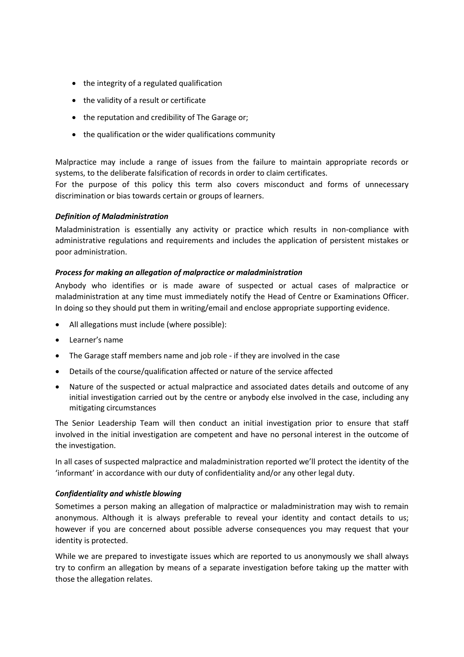- the integrity of a regulated qualification
- the validity of a result or certificate
- the reputation and credibility of The Garage or;
- the qualification or the wider qualifications community

Malpractice may include a range of issues from the failure to maintain appropriate records or systems, to the deliberate falsification of records in order to claim certificates.

For the purpose of this policy this term also covers misconduct and forms of unnecessary discrimination or bias towards certain or groups of learners.

## *Definition of Maladministration*

Maladministration is essentially any activity or practice which results in non-compliance with administrative regulations and requirements and includes the application of persistent mistakes or poor administration.

## *Process for making an allegation of malpractice or maladministration*

Anybody who identifies or is made aware of suspected or actual cases of malpractice or maladministration at any time must immediately notify the Head of Centre or Examinations Officer. In doing so they should put them in writing/email and enclose appropriate supporting evidence.

- All allegations must include (where possible):
- Learner's name
- The Garage staff members name and job role if they are involved in the case
- Details of the course/qualification affected or nature of the service affected
- Nature of the suspected or actual malpractice and associated dates details and outcome of any initial investigation carried out by the centre or anybody else involved in the case, including any mitigating circumstances

The Senior Leadership Team will then conduct an initial investigation prior to ensure that staff involved in the initial investigation are competent and have no personal interest in the outcome of the investigation.

In all cases of suspected malpractice and maladministration reported we'll protect the identity of the 'informant' in accordance with our duty of confidentiality and/or any other legal duty.

## *Confidentiality and whistle blowing*

Sometimes a person making an allegation of malpractice or maladministration may wish to remain anonymous. Although it is always preferable to reveal your identity and contact details to us; however if you are concerned about possible adverse consequences you may request that your identity is protected.

While we are prepared to investigate issues which are reported to us anonymously we shall always try to confirm an allegation by means of a separate investigation before taking up the matter with those the allegation relates.